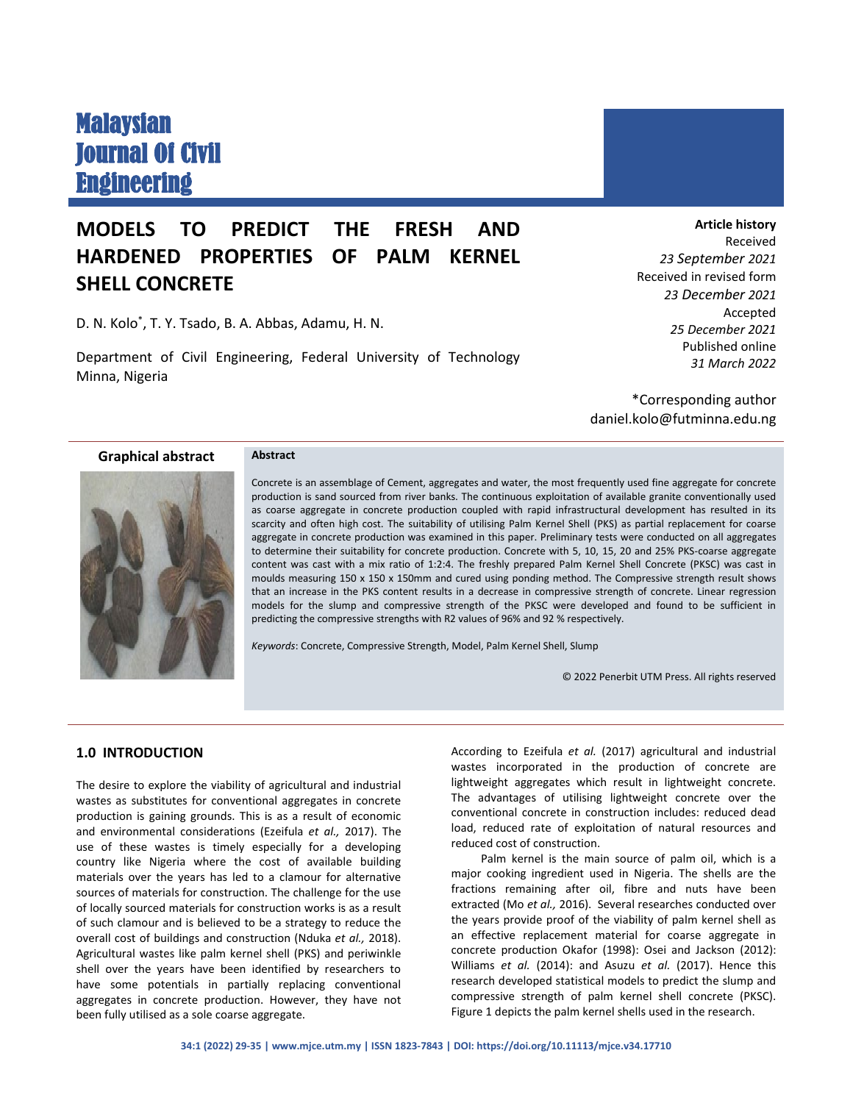# Malaysian Journal Of Civil **Engineering**

## **MODELS TO PREDICT THE FRESH AND HARDENED PROPERTIES OF PALM KERNEL SHELL CONCRETE**

D. N. Kolo\* , T. Y. Tsado, B. A. Abbas, Adamu, H. N.

Department of Civil Engineering, Federal University of Technology Minna, Nigeria

**Article history** Received *23 September 2021* Received in revised form *23 December 2021* Accepted *25 December 2021* Published online *31 March 2022*

\*Corresponding author daniel.kolo@futminna.edu.ng

### **Graphical abstract Abstract**



Concrete is an assemblage of Cement, aggregates and water, the most frequently used fine aggregate for concrete production is sand sourced from river banks. The continuous exploitation of available granite conventionally used as coarse aggregate in concrete production coupled with rapid infrastructural development has resulted in its scarcity and often high cost. The suitability of utilising Palm Kernel Shell (PKS) as partial replacement for coarse aggregate in concrete production was examined in this paper. Preliminary tests were conducted on all aggregates to determine their suitability for concrete production. Concrete with 5, 10, 15, 20 and 25% PKS-coarse aggregate content was cast with a mix ratio of 1:2:4. The freshly prepared Palm Kernel Shell Concrete (PKSC) was cast in moulds measuring 150 x 150 x 150mm and cured using ponding method. The Compressive strength result shows that an increase in the PKS content results in a decrease in compressive strength of concrete. Linear regression models for the slump and compressive strength of the PKSC were developed and found to be sufficient in predicting the compressive strengths with R2 values of 96% and 92 % respectively.

*Keywords*: Concrete, Compressive Strength, Model, Palm Kernel Shell, Slump

© 2022 Penerbit UTM Press. All rights reserved

### **1.0 INTRODUCTION**

The desire to explore the viability of agricultural and industrial wastes as substitutes for conventional aggregates in concrete production is gaining grounds. This is as a result of economic and environmental considerations (Ezeifula *et al.,* 2017). The use of these wastes is timely especially for a developing country like Nigeria where the cost of available building materials over the years has led to a clamour for alternative sources of materials for construction. The challenge for the use of locally sourced materials for construction works is as a result of such clamour and is believed to be a strategy to reduce the overall cost of buildings and construction (Nduka *et al.,* 2018). Agricultural wastes like palm kernel shell (PKS) and periwinkle shell over the years have been identified by researchers to have some potentials in partially replacing conventional aggregates in concrete production. However, they have not been fully utilised as a sole coarse aggregate.

According to Ezeifula *et al.* (2017) agricultural and industrial wastes incorporated in the production of concrete are lightweight aggregates which result in lightweight concrete. The advantages of utilising lightweight concrete over the conventional concrete in construction includes: reduced dead load, reduced rate of exploitation of natural resources and reduced cost of construction.

Palm kernel is the main source of palm oil, which is a major cooking ingredient used in Nigeria. The shells are the fractions remaining after oil, fibre and nuts have been extracted (Mo *et al.,* 2016). Several researches conducted over the years provide proof of the viability of palm kernel shell as an effective replacement material for coarse aggregate in concrete production Okafor (1998): Osei and Jackson (2012): Williams *et al.* (2014): and Asuzu *et al.* (2017). Hence this research developed statistical models to predict the slump and compressive strength of palm kernel shell concrete (PKSC). Figure 1 depicts the palm kernel shells used in the research.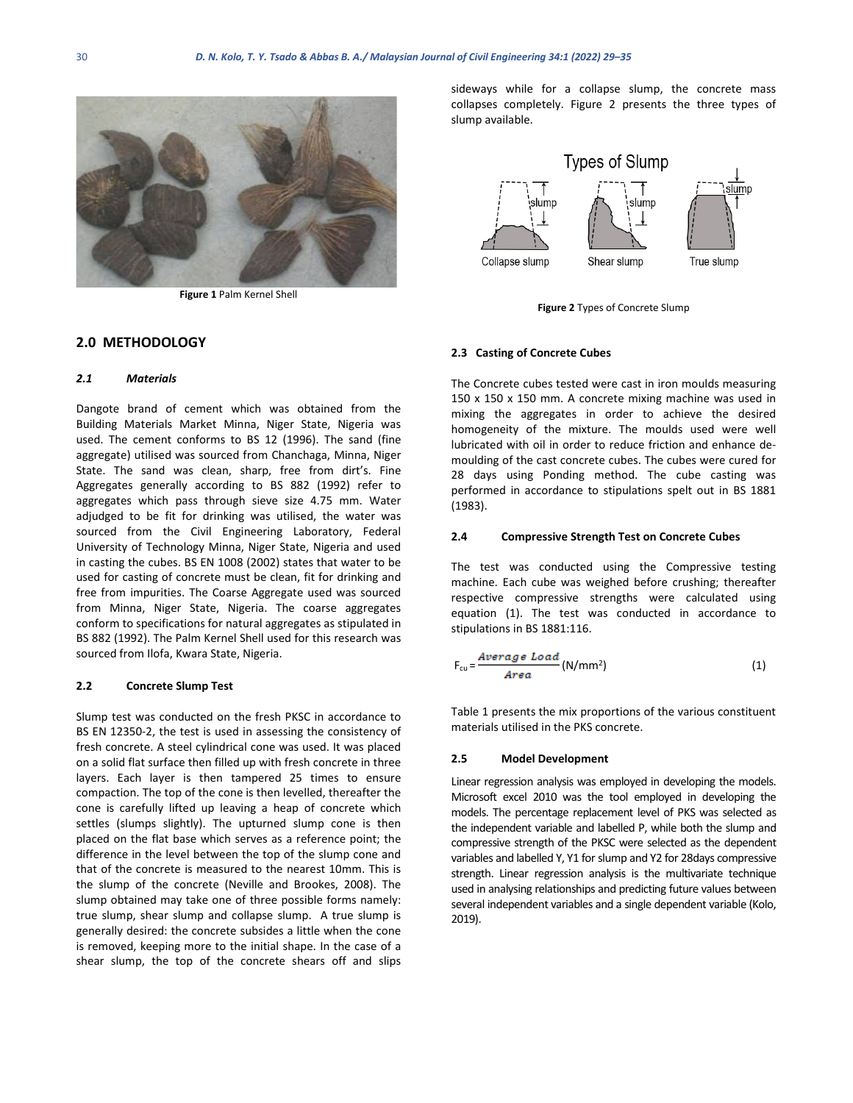

**Figure 1** Palm Kernel Shell

### **2.0 METHODOLOGY**

### *2.1 Materials*

Dangote brand of cement which was obtained from the Building Materials Market Minna, Niger State, Nigeria was used. The cement conforms to BS 12 (1996). The sand (fine aggregate) utilised was sourced from Chanchaga, Minna, Niger State. The sand was clean, sharp, free from dirt's. Fine Aggregates generally according to BS 882 (1992) refer to aggregates which pass through sieve size 4.75 mm. Water adjudged to be fit for drinking was utilised, the water was sourced from the Civil Engineering Laboratory, Federal University of Technology Minna, Niger State, Nigeria and used in casting the cubes. BS EN 1008 (2002) states that water to be used for casting of concrete must be clean, fit for drinking and free from impurities. The Coarse Aggregate used was sourced from Minna, Niger State, Nigeria. The coarse aggregates conform to specifications for natural aggregates as stipulated in BS 882 (1992). The Palm Kernel Shell used for this research was sourced from Ilofa, Kwara State, Nigeria.

### **2.2 Concrete Slump Test**

Slump test was conducted on the fresh PKSC in accordance to BS EN 12350-2, the test is used in assessing the consistency of fresh concrete. A steel cylindrical cone was used. It was placed on a solid flat surface then filled up with fresh concrete in three layers. Each layer is then tampered 25 times to ensure compaction. The top of the cone is then levelled, thereafter the cone is carefully lifted up leaving a heap of concrete which settles (slumps slightly). The upturned slump cone is then placed on the flat base which serves as a reference point; the difference in the level between the top of the slump cone and that of the concrete is measured to the nearest 10mm. This is the slump of the concrete (Neville and Brookes, 2008). The slump obtained may take one of three possible forms namely: true slump, shear slump and collapse slump. A true slump is generally desired: the concrete subsides a little when the cone is removed, keeping more to the initial shape. In the case of a shear slump, the top of the concrete shears off and slips sideways while for a collapse slump, the concrete mass collapses completely. Figure 2 presents the three types of slump available.



**Figure 2** Types of Concrete Slump

### **2.3 Casting of Concrete Cubes**

The Concrete cubes tested were cast in iron moulds measuring 150 x 150 x 150 mm. A concrete mixing machine was used in mixing the aggregates in order to achieve the desired homogeneity of the mixture. The moulds used were well lubricated with oil in order to reduce friction and enhance demoulding of the cast concrete cubes. The cubes were cured for 28 days using Ponding method. The cube casting was performed in accordance to stipulations spelt out in BS 1881 (1983).

### **2.4 Compressive Strength Test on Concrete Cubes**

The test was conducted using the Compressive testing machine. Each cube was weighed before crushing; thereafter respective compressive strengths were calculated using equation (1). The test was conducted in accordance to stipulations in BS 1881:116.

$$
F_{cu} = \frac{Average\ Load}{Area} (N/mm^2)
$$
 (1)

Table 1 presents the mix proportions of the various constituent materials utilised in the PKS concrete.

### **2.5 Model Development**

Linear regression analysis was employed in developing the models. Microsoft excel 2010 was the tool employed in developing the models. The percentage replacement level of PKS was selected as the independent variable and labelled P, while both the slump and compressive strength of the PKSC were selected as the dependent variables and labelled Y, Y1 for slump and Y2 for 28days compressive strength. Linear regression analysis is the multivariate technique used in analysing relationships and predicting future values between several independent variables and a single dependent variable (Kolo, 2019).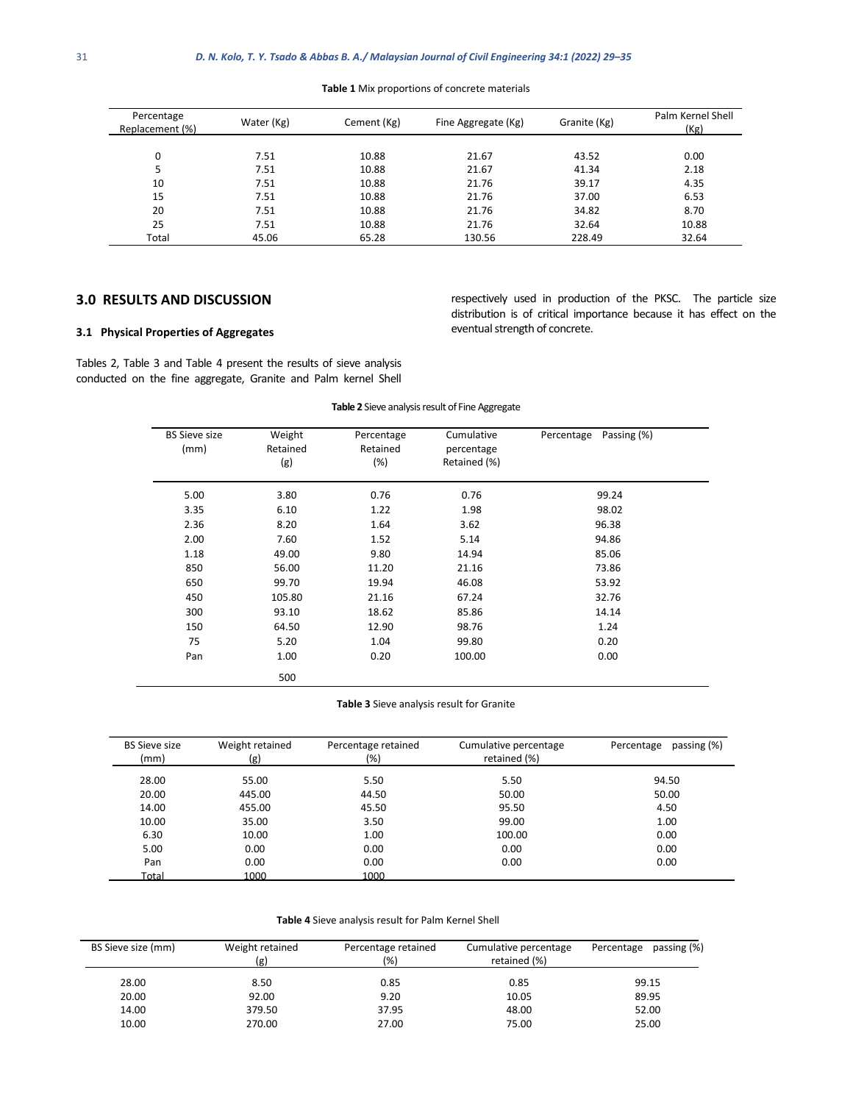| Percentage<br>Replacement (%) | Water (Kg) | Cement (Kg) | Fine Aggregate (Kg) | Granite (Kg) | Palm Kernel Shell<br>(Kg) |
|-------------------------------|------------|-------------|---------------------|--------------|---------------------------|
|                               |            |             |                     |              |                           |
| 0                             | 7.51       | 10.88       | 21.67               | 43.52        | 0.00                      |
| 5                             | 7.51       | 10.88       | 21.67               | 41.34        | 2.18                      |
| 10                            | 7.51       | 10.88       | 21.76               | 39.17        | 4.35                      |
| 15                            | 7.51       | 10.88       | 21.76               | 37.00        | 6.53                      |
| 20                            | 7.51       | 10.88       | 21.76               | 34.82        | 8.70                      |
| 25                            | 7.51       | 10.88       | 21.76               | 32.64        | 10.88                     |
| Total                         | 45.06      | 65.28       | 130.56              | 228.49       | 32.64                     |

**Table 1** Mix proportions of concrete materials

### **3.0 RESULTS AND DISCUSSION**

respectively used in production of the PKSC. The particle size distribution is of critical importance because it has effect on the eventual strength of concrete.

### **3.1 Physical Properties of Aggregates**

Tables 2, Table 3 and Table 4 present the results of sieve analysis conducted on the fine aggregate, Granite and Palm kernel Shell

| <b>BS Sieve size</b><br>(mm) | Weight<br>Retained<br>(g) | Percentage<br>Retained<br>(%) | Cumulative<br>percentage<br>Retained (%) | Percentage<br>Passing (%) |
|------------------------------|---------------------------|-------------------------------|------------------------------------------|---------------------------|
| 5.00                         | 3.80                      | 0.76                          | 0.76                                     | 99.24                     |
| 3.35                         | 6.10                      | 1.22                          | 1.98                                     | 98.02                     |
| 2.36                         | 8.20                      | 1.64                          | 3.62                                     | 96.38                     |
| 2.00                         | 7.60                      | 1.52                          | 5.14                                     | 94.86                     |
| 1.18                         | 49.00                     | 9.80                          | 14.94                                    | 85.06                     |
| 850                          | 56.00                     | 11.20                         | 21.16                                    | 73.86                     |
| 650                          | 99.70                     | 19.94                         | 46.08                                    | 53.92                     |
| 450                          | 105.80                    | 21.16                         | 67.24                                    | 32.76                     |
| 300                          | 93.10                     | 18.62                         | 85.86                                    | 14.14                     |
| 150                          | 64.50                     | 12.90                         | 98.76                                    | 1.24                      |
| 75                           | 5.20                      | 1.04                          | 99.80                                    | 0.20                      |
| Pan                          | 1.00                      | 0.20                          | 100.00                                   | 0.00                      |
|                              | 500                       |                               |                                          |                           |

### **Table 2** Sieve analysis result of Fine Aggregate

### **Table 3** Sieve analysis result for Granite

| <b>BS Sieve size</b><br>(mm) | Weight retained<br>(g) | Percentage retained<br>(%) | Cumulative percentage<br>retained (%) | passing $(\%)$<br>Percentage |
|------------------------------|------------------------|----------------------------|---------------------------------------|------------------------------|
| 28.00                        | 55.00                  | 5.50                       | 5.50                                  | 94.50                        |
| 20.00                        | 445.00                 | 44.50                      | 50.00                                 | 50.00                        |
| 14.00                        | 455.00                 | 45.50                      | 95.50                                 | 4.50                         |
| 10.00                        | 35.00                  | 3.50                       | 99.00                                 | 1.00                         |
| 6.30                         | 10.00                  | 1.00                       | 100.00                                | 0.00                         |
| 5.00                         | 0.00                   | 0.00                       | 0.00                                  | 0.00                         |
| Pan                          | 0.00                   | 0.00                       | 0.00                                  | 0.00                         |
| Total                        | 1000                   | 1000                       |                                       |                              |

### **Table 4** Sieve analysis result for Palm Kernel Shell

| BS Sieve size (mm) | Weight retained | Percentage retained | Cumulative percentage | Percentage passing (%) |
|--------------------|-----------------|---------------------|-----------------------|------------------------|
|                    | (g)             | (% )                | retained (%)          |                        |
|                    |                 |                     |                       |                        |
| 28.00              | 8.50            | 0.85                | 0.85                  | 99.15                  |
| 20.00              | 92.00           | 9.20                | 10.05                 | 89.95                  |
| 14.00              | 379.50          | 37.95               | 48.00                 | 52.00                  |
| 10.00              | 270.00          | 27.00               | 75.00                 | 25.00                  |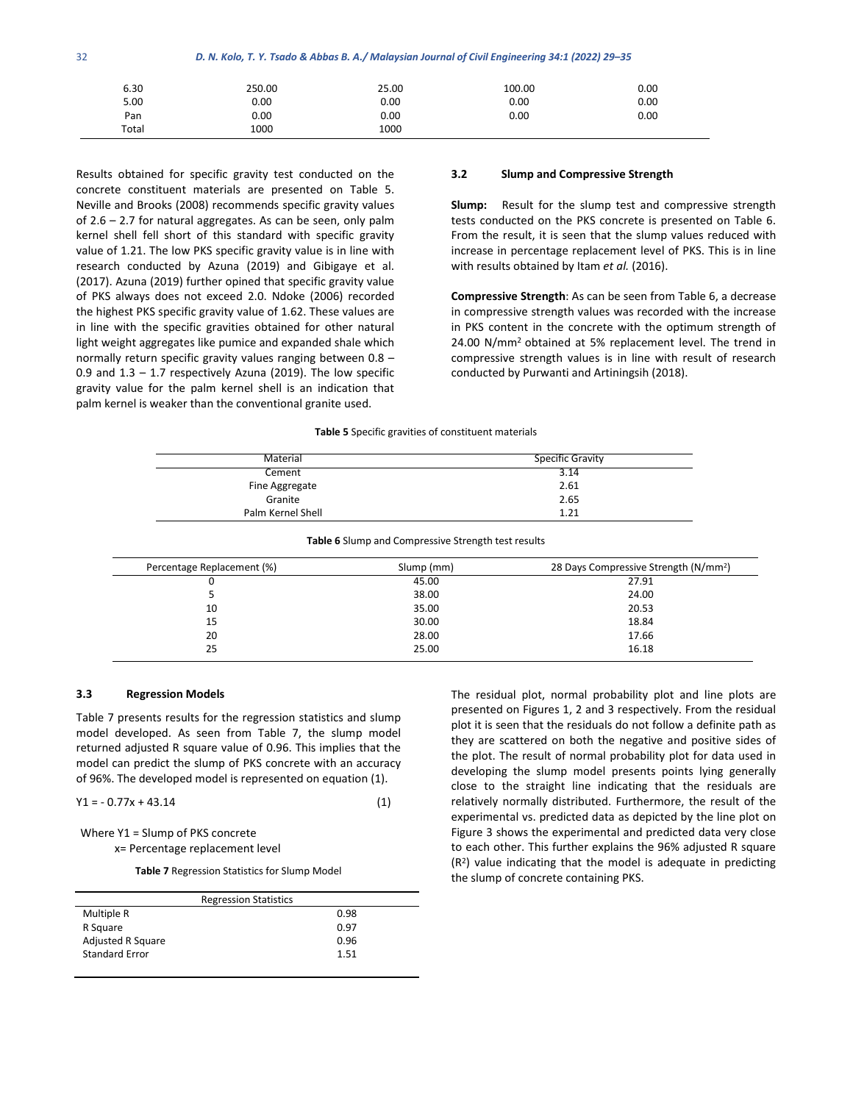| 6.30  | 250.00 | 25.00 | 100.00 | 0.00 |
|-------|--------|-------|--------|------|
| 5.00  | 0.00   | 0.00  | 0.00   | 0.00 |
| Pan   | ა.იი   | 0.00  | 0.00   | 0.00 |
| Total | 1000   | 1000  |        |      |

Results obtained for specific gravity test conducted on the concrete constituent materials are presented on Table 5. Neville and Brooks (2008) recommends specific gravity values of 2.6 – 2.7 for natural aggregates. As can be seen, only palm kernel shell fell short of this standard with specific gravity value of 1.21. The low PKS specific gravity value is in line with research conducted by Azuna (2019) and Gibigaye et al. (2017). Azuna (2019) further opined that specific gravity value of PKS always does not exceed 2.0. Ndoke (2006) recorded the highest PKS specific gravity value of 1.62. These values are in line with the specific gravities obtained for other natural light weight aggregates like pumice and expanded shale which normally return specific gravity values ranging between 0.8 – 0.9 and  $1.3 - 1.7$  respectively Azuna (2019). The low specific gravity value for the palm kernel shell is an indication that palm kernel is weaker than the conventional granite used.

### **3.2 Slump and Compressive Strength**

**Slump:** Result for the slump test and compressive strength tests conducted on the PKS concrete is presented on Table 6. From the result, it is seen that the slump values reduced with increase in percentage replacement level of PKS. This is in line with results obtained by Itam *et al.* (2016).

**Compressive Strength**: As can be seen from Table 6, a decrease in compressive strength values was recorded with the increase in PKS content in the concrete with the optimum strength of 24.00 N/mm2 obtained at 5% replacement level. The trend in compressive strength values is in line with result of research conducted by Purwanti and Artiningsih (2018).

### **Table 5** Specific gravities of constituent materials

| Material          | <b>Specific Gravity</b> |
|-------------------|-------------------------|
| Cement            | 3.14                    |
| Fine Aggregate    | 2.61                    |
| Granite           | 2.65                    |
| Palm Kernel Shell | 1.21                    |

| Percentage Replacement (%) | Slump (mm) | 28 Days Compressive Strength (N/mm <sup>2</sup> ) |
|----------------------------|------------|---------------------------------------------------|
|                            | 45.00      | 27.91                                             |
|                            | 38.00      | 24.00                                             |
| 10                         | 35.00      | 20.53                                             |
| 15                         | 30.00      | 18.84                                             |
| 20                         | 28.00      | 17.66                                             |
| 25                         | 25.00      | 16.18                                             |

### **3.3 Regression Models**

Table 7 presents results for the regression statistics and slump model developed. As seen from Table 7, the slump model returned adjusted R square value of 0.96. This implies that the model can predict the slump of PKS concrete with an accuracy of 96%. The developed model is represented on equation (1).

$$
Y1 = -0.77x + 43.14 \tag{1}
$$

Where Y1 = Slump of PKS concrete

x= Percentage replacement level

**Table 7** Regression Statistics for Slump Model

| <b>Regression Statistics</b> |      |
|------------------------------|------|
| Multiple R                   | 0.98 |
| R Square                     | 0.97 |
| <b>Adjusted R Square</b>     | 0.96 |
| <b>Standard Error</b>        | 1.51 |
|                              |      |

The residual plot, normal probability plot and line plots are presented on Figures 1, 2 and 3 respectively. From the residual plot it is seen that the residuals do not follow a definite path as they are scattered on both the negative and positive sides of the plot. The result of normal probability plot for data used in developing the slump model presents points lying generally close to the straight line indicating that the residuals are relatively normally distributed. Furthermore, the result of the experimental vs. predicted data as depicted by the line plot on Figure 3 shows the experimental and predicted data very close to each other. This further explains the 96% adjusted R square (R2) value indicating that the model is adequate in predicting the slump of concrete containing PKS.

**Table 6** Slump and Compressive Strength test results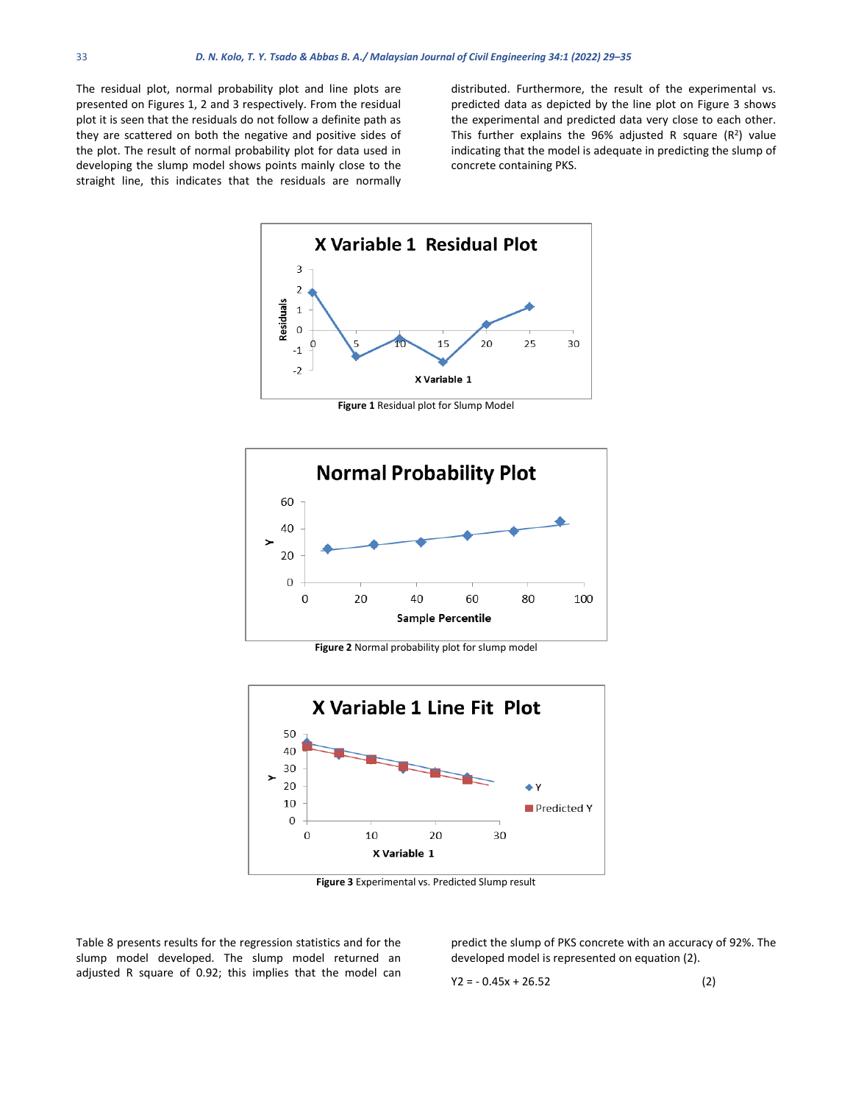The residual plot, normal probability plot and line plots are presented on Figures 1, 2 and 3 respectively. From the residual plot it is seen that the residuals do not follow a definite path as they are scattered on both the negative and positive sides of the plot. The result of normal probability plot for data used in developing the slump model shows points mainly close to the straight line, this indicates that the residuals are normally

distributed. Furthermore, the result of the experimental vs. predicted data as depicted by the line plot on Figure 3 shows the experimental and predicted data very close to each other. This further explains the 96% adjusted R square  $(R^2)$  value indicating that the model is adequate in predicting the slump of concrete containing PKS.



**Figure 1** Residual plot for Slump Model



**Figure 2** Normal probability plot for slump model



**Figure 3** Experimental vs. Predicted Slump result

Table 8 presents results for the regression statistics and for the slump model developed. The slump model returned an adjusted R square of 0.92; this implies that the model can predict the slump of PKS concrete with an accuracy of 92%. The developed model is represented on equation (2).

 $Y2 = -0.45x + 26.52$  (2)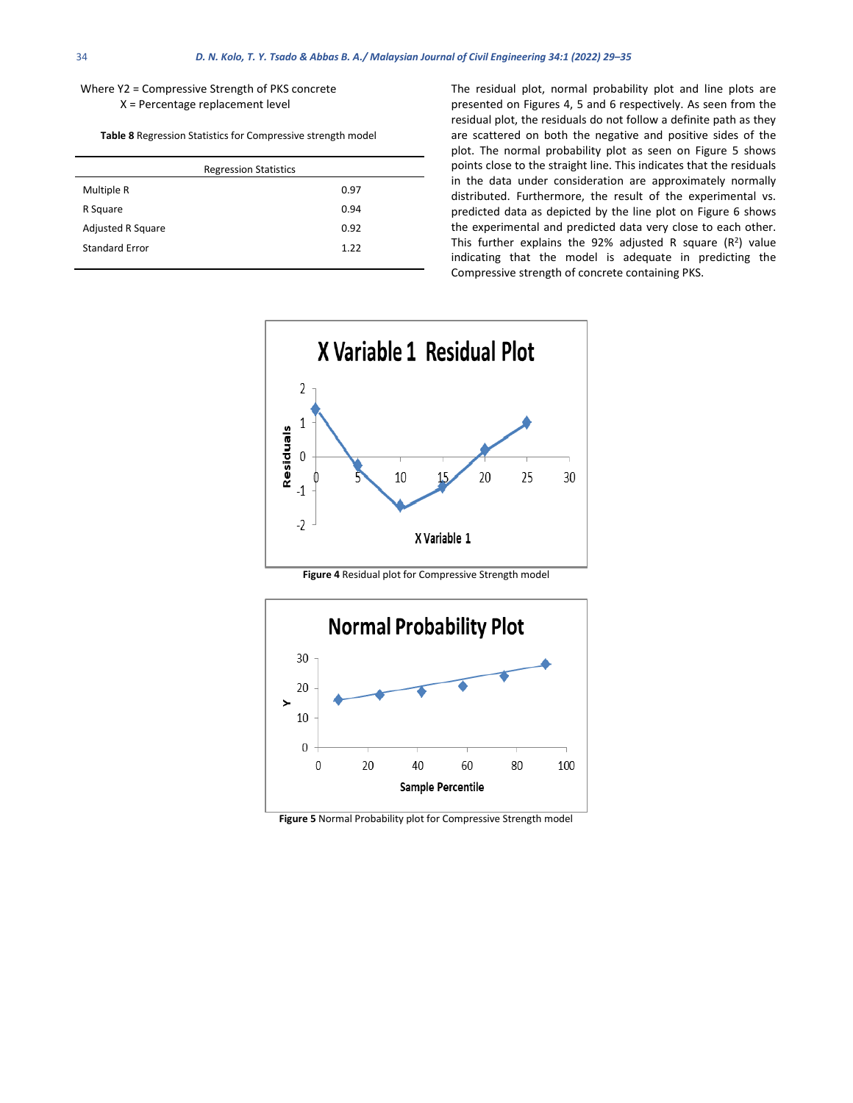Where Y2 = Compressive Strength of PKS concrete X = Percentage replacement level

**Table 8** Regression Statistics for Compressive strength model

|                          | <b>Regression Statistics</b> |
|--------------------------|------------------------------|
| Multiple R               | 0.97                         |
| R Square                 | 0.94                         |
| <b>Adjusted R Square</b> | 0.92                         |
| <b>Standard Error</b>    | 1.22                         |
|                          |                              |

The residual plot, normal probability plot and line plots are presented on Figures 4, 5 and 6 respectively. As seen from the residual plot, the residuals do not follow a definite path as they are scattered on both the negative and positive sides of the plot. The normal probability plot as seen on Figure 5 shows points close to the straight line. This indicates that the residuals in the data under consideration are approximately normally distributed. Furthermore, the result of the experimental vs. predicted data as depicted by the line plot on Figure 6 shows the experimental and predicted data very close to each other. This further explains the 92% adjusted R square  $(R^2)$  value indicating that the model is adequate in predicting the Compressive strength of concrete containing PKS.



**Figure 4** Residual plot for Compressive Strength model



**Figure 5** Normal Probability plot for Compressive Strength model